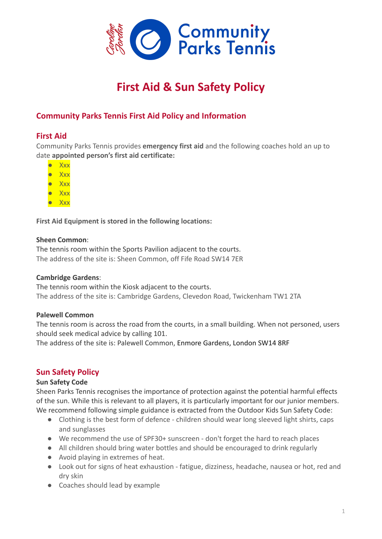

# **First Aid & Sun Safety Policy**

## **Community Parks Tennis First Aid Policy and Information**

### **First Aid**

Community Parks Tennis provides **emergency first aid** and the following coaches hold an up to date **appointed person's first aid certificate:**

- Xxx
- Xxx
- Xxx
- Xxx
- Xxx

**First Aid Equipment is stored in the following locations:**

#### **Sheen Common**:

The tennis room within the Sports Pavilion adjacent to the courts. The address of the site is: Sheen Common, off Fife Road SW14 7ER

#### **Cambridge Gardens**:

The tennis room within the Kiosk adjacent to the courts. The address of the site is: Cambridge Gardens, Clevedon Road, Twickenham TW1 2TA

#### **Palewell Common**

The tennis room is across the road from the courts, in a small building. When not personed, users should seek medical advice by calling 101.

The address of the site is: Palewell Common, Enmore Gardens, London SW14 8RF

## **Sun Safety Policy**

#### **Sun Safety Code**

Sheen Parks Tennis recognises the importance of protection against the potential harmful effects of the sun. While this is relevant to all players, it is particularly important for our junior members. We recommend following simple guidance is extracted from the Outdoor Kids Sun Safety Code:

- Clothing is the best form of defence children should wear long sleeved light shirts, caps and sunglasses
- We recommend the use of SPF30+ sunscreen don't forget the hard to reach places
- All children should bring water bottles and should be encouraged to drink regularly
- Avoid playing in extremes of heat.
- Look out for signs of heat exhaustion fatigue, dizziness, headache, nausea or hot, red and dry skin
- Coaches should lead by example